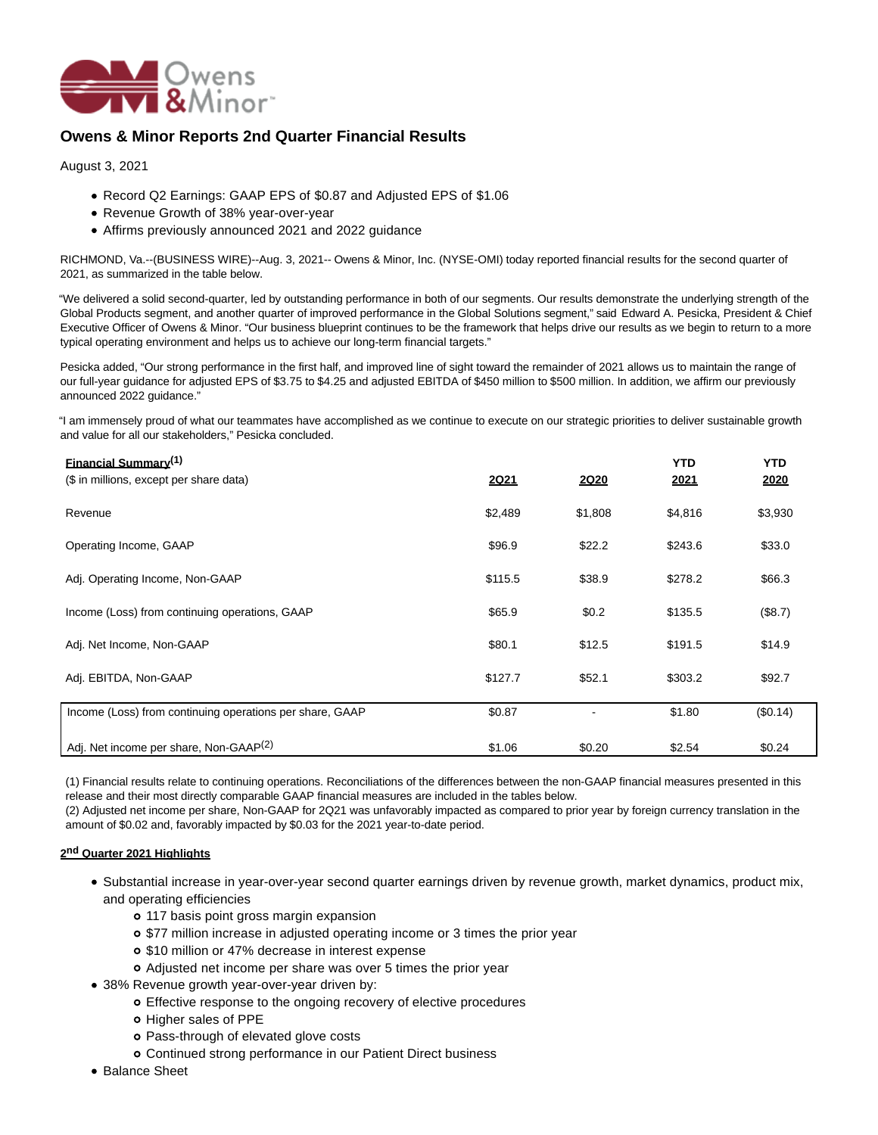

# **Owens & Minor Reports 2nd Quarter Financial Results**

August 3, 2021

- Record Q2 Earnings: GAAP EPS of \$0.87 and Adjusted EPS of \$1.06
- Revenue Growth of 38% year-over-year
- Affirms previously announced 2021 and 2022 guidance

RICHMOND, Va.--(BUSINESS WIRE)--Aug. 3, 2021-- Owens & Minor, Inc. (NYSE-OMI) today reported financial results for the second quarter of 2021, as summarized in the table below.

"We delivered a solid second-quarter, led by outstanding performance in both of our segments. Our results demonstrate the underlying strength of the Global Products segment, and another quarter of improved performance in the Global Solutions segment," said Edward A. Pesicka, President & Chief Executive Officer of Owens & Minor. "Our business blueprint continues to be the framework that helps drive our results as we begin to return to a more typical operating environment and helps us to achieve our long-term financial targets."

Pesicka added, "Our strong performance in the first half, and improved line of sight toward the remainder of 2021 allows us to maintain the range of our full-year guidance for adjusted EPS of \$3.75 to \$4.25 and adjusted EBITDA of \$450 million to \$500 million. In addition, we affirm our previously announced 2022 guidance."

"I am immensely proud of what our teammates have accomplished as we continue to execute on our strategic priorities to deliver sustainable growth and value for all our stakeholders," Pesicka concluded.

| <b>Financial Summary</b> <sup>(1)</sup><br>(\$ in millions, except per share data) | <b>2Q21</b> | 2Q20    | <b>YTD</b><br>2021 | <b>YTD</b><br>2020 |
|------------------------------------------------------------------------------------|-------------|---------|--------------------|--------------------|
| Revenue                                                                            | \$2,489     | \$1,808 | \$4,816            | \$3,930            |
| Operating Income, GAAP                                                             | \$96.9      | \$22.2  | \$243.6            | \$33.0             |
| Adj. Operating Income, Non-GAAP                                                    | \$115.5     | \$38.9  | \$278.2            | \$66.3             |
| Income (Loss) from continuing operations, GAAP                                     | \$65.9      | \$0.2\$ | \$135.5            | (\$8.7)            |
| Adj. Net Income, Non-GAAP                                                          | \$80.1      | \$12.5  | \$191.5            | \$14.9             |
| Adj. EBITDA, Non-GAAP                                                              | \$127.7     | \$52.1  | \$303.2            | \$92.7             |
| Income (Loss) from continuing operations per share, GAAP                           | \$0.87      |         | \$1.80             | (\$0.14)           |
| Adj. Net income per share, Non-GAAP <sup>(2)</sup>                                 | \$1.06      | \$0.20  | \$2.54             | \$0.24             |

(1) Financial results relate to continuing operations. Reconciliations of the differences between the non-GAAP financial measures presented in this release and their most directly comparable GAAP financial measures are included in the tables below.

(2) Adjusted net income per share, Non-GAAP for 2Q21 was unfavorably impacted as compared to prior year by foreign currency translation in the amount of \$0.02 and, favorably impacted by \$0.03 for the 2021 year-to-date period.

### **2 nd Quarter 2021 Highlights**

- Substantial increase in year-over-year second quarter earnings driven by revenue growth, market dynamics, product mix, and operating efficiencies
	- 117 basis point gross margin expansion
	- \$77 million increase in adjusted operating income or 3 times the prior year
	- \$10 million or 47% decrease in interest expense
	- Adjusted net income per share was over 5 times the prior year
- 38% Revenue growth year-over-year driven by:
	- Effective response to the ongoing recovery of elective procedures
	- o Higher sales of PPE
	- o Pass-through of elevated glove costs
	- Continued strong performance in our Patient Direct business
- Balance Sheet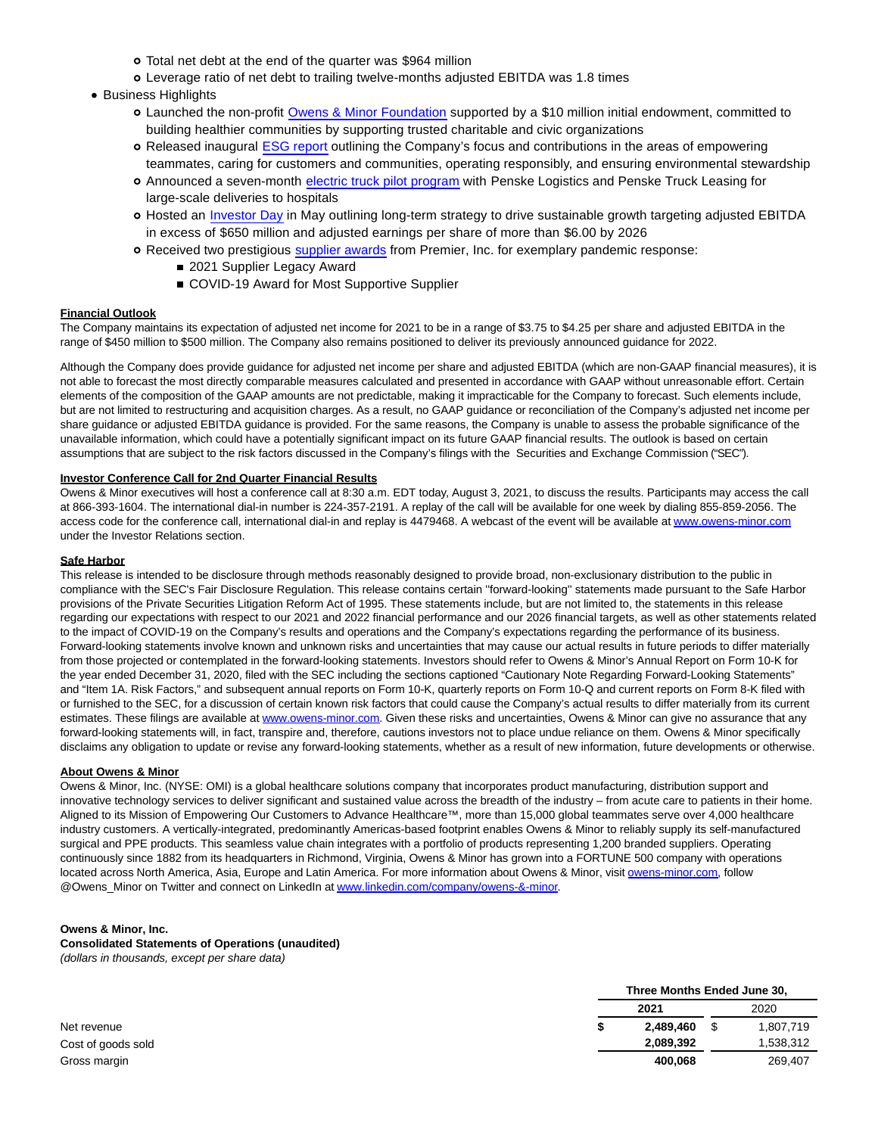- Total net debt at the end of the quarter was \$964 million
- Leverage ratio of net debt to trailing twelve-months adjusted EBITDA was 1.8 times
- Business Highlights
	- Launched the non-profit [Owens & Minor Foundation](https://cts.businesswire.com/ct/CT?id=smartlink&url=https%3A%2F%2Finvestors.owens-minor.com%2Fnews-releases%2Fnews-release-details%2Fowens-minor-launches-non-profit-foundation-reaffirms-decades&esheet=52470096&newsitemid=20210803005206&lan=en-US&anchor=Owens+%26amp%3B+Minor+Foundation&index=1&md5=e0f75b0598f5babbaec8354093583427) supported by a \$10 million initial endowment, committed to building healthier communities by supporting trusted charitable and civic organizations
	- Released inaugural [ESG report o](https://cts.businesswire.com/ct/CT?id=smartlink&url=https%3A%2F%2Finvestors.owens-minor.com%2Fnews-releases%2Fnews-release-details%2Fowens-minor-releases-inaugural-environmental-social-and&esheet=52470096&newsitemid=20210803005206&lan=en-US&anchor=ESG+report&index=2&md5=937cfd5d625e2d5f319d0aad5be332a1)utlining the Company's focus and contributions in the areas of empowering teammates, caring for customers and communities, operating responsibly, and ensuring environmental stewardship
	- Announced a seven-month [electric truck pilot program w](https://cts.businesswire.com/ct/CT?id=smartlink&url=https%3A%2F%2Finvestors.owens-minor.com%2Fnews-releases%2Fnews-release-details%2Fowens-minor-pursues-sustainable-solutions-healthcare-through&esheet=52470096&newsitemid=20210803005206&lan=en-US&anchor=electric+truck+pilot+program&index=3&md5=1482f0010b70b1d516b548ae19150d4c)ith Penske Logistics and Penske Truck Leasing for large-scale deliveries to hospitals
	- o Hosted an [Investor Day](https://cts.businesswire.com/ct/CT?id=smartlink&url=https%3A%2F%2Finvestors.owens-minor.com%2Fevents-presentations&esheet=52470096&newsitemid=20210803005206&lan=en-US&anchor=Investor+Day&index=4&md5=16a7eb9e055d443e4e53e91a7b05cd48) in May outlining long-term strategy to drive sustainable growth targeting adjusted EBITDA in excess of \$650 million and adjusted earnings per share of more than \$6.00 by 2026
	- Received two prestigious [supplier awards](https://cts.businesswire.com/ct/CT?id=smartlink&url=https%3A%2F%2Finvestors.owens-minor.com%2Fnews-releases%2Fnews-release-details%2Fowens-minor-receives-prestigious-supplier-awards-recognition&esheet=52470096&newsitemid=20210803005206&lan=en-US&anchor=supplier+awards&index=5&md5=aaf7324afff312b2adc569d359f2dcd0) from Premier, Inc. for exemplary pandemic response:
		- 2021 Supplier Legacy Award
		- COVID-19 Award for Most Supportive Supplier

#### **Financial Outlook**

The Company maintains its expectation of adjusted net income for 2021 to be in a range of \$3.75 to \$4.25 per share and adjusted EBITDA in the range of \$450 million to \$500 million. The Company also remains positioned to deliver its previously announced guidance for 2022.

Although the Company does provide guidance for adjusted net income per share and adjusted EBITDA (which are non-GAAP financial measures), it is not able to forecast the most directly comparable measures calculated and presented in accordance with GAAP without unreasonable effort. Certain elements of the composition of the GAAP amounts are not predictable, making it impracticable for the Company to forecast. Such elements include, but are not limited to restructuring and acquisition charges. As a result, no GAAP guidance or reconciliation of the Company's adjusted net income per share guidance or adjusted EBITDA guidance is provided. For the same reasons, the Company is unable to assess the probable significance of the unavailable information, which could have a potentially significant impact on its future GAAP financial results. The outlook is based on certain assumptions that are subject to the risk factors discussed in the Company's filings with the Securities and Exchange Commission ("SEC").

#### **Investor Conference Call for 2nd Quarter Financial Results**

Owens & Minor executives will host a conference call at 8:30 a.m. EDT today, August 3, 2021, to discuss the results. Participants may access the call at 866-393-1604. The international dial-in number is 224-357-2191. A replay of the call will be available for one week by dialing 855-859-2056. The access code for the conference call, international dial-in and replay is 4479468. A webcast of the event will be available a[t www.owens-minor.com](https://cts.businesswire.com/ct/CT?id=smartlink&url=http%3A%2F%2Fwww.owens-minor.com&esheet=52470096&newsitemid=20210803005206&lan=en-US&anchor=www.owens-minor.com&index=6&md5=49498772b38ce6ed7c9a566a093493f4) under the Investor Relations section.

#### **Safe Harbor**

This release is intended to be disclosure through methods reasonably designed to provide broad, non-exclusionary distribution to the public in compliance with the SEC's Fair Disclosure Regulation. This release contains certain ''forward-looking'' statements made pursuant to the Safe Harbor provisions of the Private Securities Litigation Reform Act of 1995. These statements include, but are not limited to, the statements in this release regarding our expectations with respect to our 2021 and 2022 financial performance and our 2026 financial targets, as well as other statements related to the impact of COVID-19 on the Company's results and operations and the Company's expectations regarding the performance of its business. Forward-looking statements involve known and unknown risks and uncertainties that may cause our actual results in future periods to differ materially from those projected or contemplated in the forward-looking statements. Investors should refer to Owens & Minor's Annual Report on Form 10-K for the year ended December 31, 2020, filed with the SEC including the sections captioned "Cautionary Note Regarding Forward-Looking Statements" and "Item 1A. Risk Factors," and subsequent annual reports on Form 10-K, quarterly reports on Form 10-Q and current reports on Form 8-K filed with or furnished to the SEC, for a discussion of certain known risk factors that could cause the Company's actual results to differ materially from its current estimates. These filings are available at [www.owens-minor.com.](https://cts.businesswire.com/ct/CT?id=smartlink&url=http%3A%2F%2Fwww.owens-minor.com&esheet=52470096&newsitemid=20210803005206&lan=en-US&anchor=www.owens-minor.com&index=7&md5=82b7feeb831dc0d5f83e29455c2fae1e) Given these risks and uncertainties, Owens & Minor can give no assurance that any forward-looking statements will, in fact, transpire and, therefore, cautions investors not to place undue reliance on them. Owens & Minor specifically disclaims any obligation to update or revise any forward-looking statements, whether as a result of new information, future developments or otherwise.

#### **About Owens & Minor**

Owens & Minor, Inc. (NYSE: OMI) is a global healthcare solutions company that incorporates product manufacturing, distribution support and innovative technology services to deliver significant and sustained value across the breadth of the industry – from acute care to patients in their home. Aligned to its Mission of Empowering Our Customers to Advance Healthcare™, more than 15,000 global teammates serve over 4,000 healthcare industry customers. A vertically-integrated, predominantly Americas-based footprint enables Owens & Minor to reliably supply its self-manufactured surgical and PPE products. This seamless value chain integrates with a portfolio of products representing 1,200 branded suppliers. Operating continuously since 1882 from its headquarters in Richmond, Virginia, Owens & Minor has grown into a FORTUNE 500 company with operations located across North America, Asia, Europe and Latin America. For more information about Owens & Minor, visi[t owens-minor.com,](http://owens-minor.com/) follow @Owens\_Minor on Twitter and connect on LinkedIn a[t www.linkedin.com/company/owens-&-minor.](https://cts.businesswire.com/ct/CT?id=smartlink&url=http%3A%2F%2Fwww.linkedin.com%2Fcompany%2Fowens-%26-minor&esheet=52470096&newsitemid=20210803005206&lan=en-US&anchor=www.linkedin.com%2Fcompany%2Fowens-%26amp%3B-minor&index=8&md5=5585bae57059d7f6ab88e1270694332a)

#### **Owens & Minor, Inc.**

**Consolidated Statements of Operations (unaudited)** (dollars in thousands, except per share data)

|                    | Three Months Ended June 30, |      |           |
|--------------------|-----------------------------|------|-----------|
|                    | 2021                        | 2020 |           |
| Net revenue        | 2,489,460                   |      | 1,807,719 |
| Cost of goods sold | 2,089,392                   |      | .538,312  |
| Gross margin       | 400.068                     |      | 269,407   |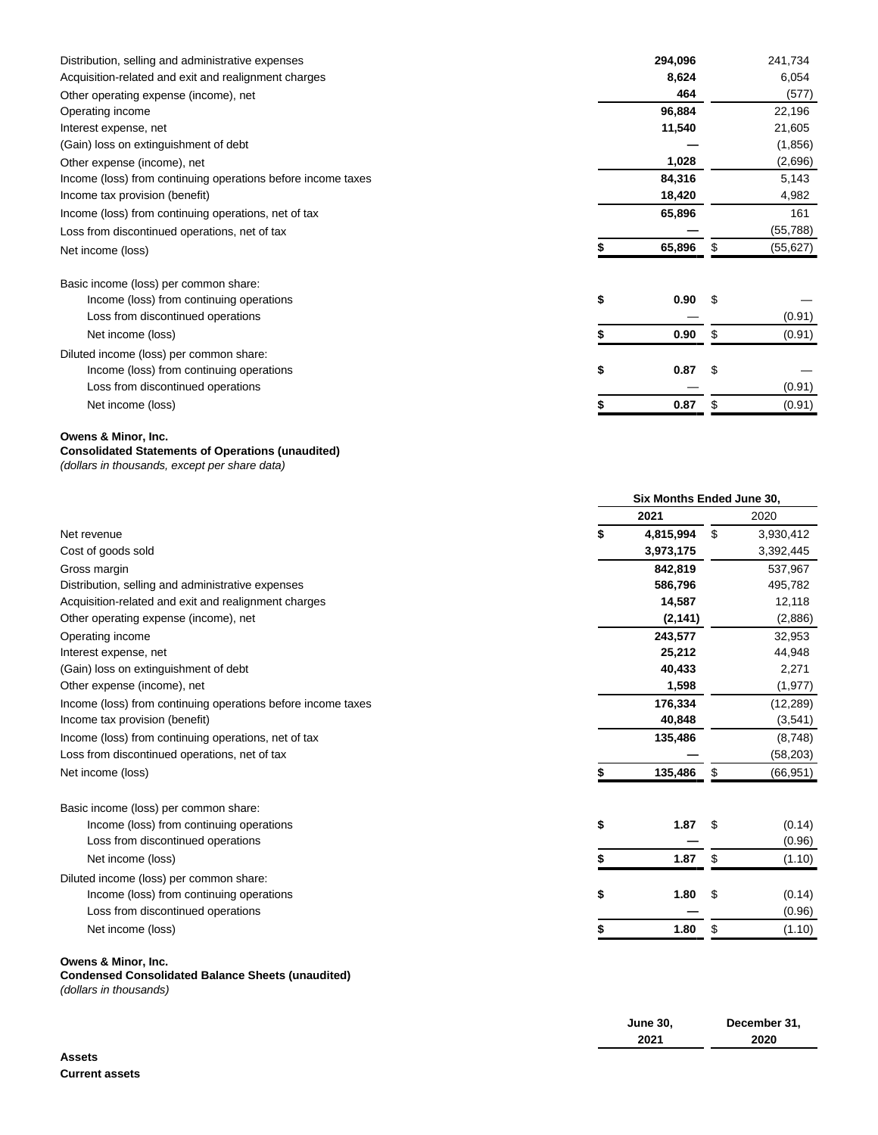| Distribution, selling and administrative expenses            | 294,096    |    | 241,734   |
|--------------------------------------------------------------|------------|----|-----------|
| Acquisition-related and exit and realignment charges         | 8,624      |    | 6,054     |
| Other operating expense (income), net                        | 464        |    | (577)     |
| Operating income                                             | 96,884     |    | 22,196    |
| Interest expense, net                                        | 11,540     |    | 21,605    |
| (Gain) loss on extinguishment of debt                        |            |    | (1,856)   |
| Other expense (income), net                                  | 1,028      |    | (2,696)   |
| Income (loss) from continuing operations before income taxes | 84,316     |    | 5,143     |
| Income tax provision (benefit)                               | 18,420     |    | 4,982     |
| Income (loss) from continuing operations, net of tax         | 65,896     |    | 161       |
| Loss from discontinued operations, net of tax                |            |    | (55, 788) |
| Net income (loss)                                            | 65,896     | S. | (55, 627) |
| Basic income (loss) per common share:                        |            |    |           |
| Income (loss) from continuing operations                     | \$<br>0.90 |    |           |
| Loss from discontinued operations                            |            |    | (0.91)    |
| Net income (loss)                                            | 0.90       | S  | (0.91)    |
| Diluted income (loss) per common share:                      |            |    |           |
| Income (loss) from continuing operations                     | 0.87<br>\$ |    |           |
| Loss from discontinued operations                            |            |    | (0.91)    |
| Net income (loss)                                            | 0.87       |    | (0.91)    |
|                                                              |            |    |           |

# **Owens & Minor, Inc.**

# **Consolidated Statements of Operations (unaudited)**

(dollars in thousands, except per share data)

|                                                              | Six Months Ended June 30, |           |    |           |  |
|--------------------------------------------------------------|---------------------------|-----------|----|-----------|--|
|                                                              |                           | 2021      |    | 2020      |  |
| Net revenue                                                  |                           | 4,815,994 | \$ | 3,930,412 |  |
| Cost of goods sold                                           |                           | 3,973,175 |    | 3,392,445 |  |
| Gross margin                                                 |                           | 842,819   |    | 537,967   |  |
| Distribution, selling and administrative expenses            |                           | 586,796   |    | 495,782   |  |
| Acquisition-related and exit and realignment charges         |                           | 14,587    |    | 12,118    |  |
| Other operating expense (income), net                        |                           | (2, 141)  |    | (2,886)   |  |
| Operating income                                             |                           | 243,577   |    | 32,953    |  |
| Interest expense, net                                        |                           | 25,212    |    | 44,948    |  |
| (Gain) loss on extinguishment of debt                        |                           | 40,433    |    | 2,271     |  |
| Other expense (income), net                                  |                           | 1,598     |    | (1, 977)  |  |
| Income (loss) from continuing operations before income taxes |                           | 176,334   |    | (12, 289) |  |
| Income tax provision (benefit)                               |                           | 40,848    |    | (3,541)   |  |
| Income (loss) from continuing operations, net of tax         |                           | 135,486   |    | (8,748)   |  |
| Loss from discontinued operations, net of tax                |                           |           |    | (58, 203) |  |
| Net income (loss)                                            |                           | 135,486   | \$ | (66, 951) |  |
| Basic income (loss) per common share:                        |                           |           |    |           |  |
| Income (loss) from continuing operations                     | \$                        | 1.87      | S  | (0.14)    |  |
| Loss from discontinued operations                            |                           |           |    | (0.96)    |  |
| Net income (loss)                                            |                           | 1.87      | \$ | (1.10)    |  |
| Diluted income (loss) per common share:                      |                           |           |    |           |  |
| Income (loss) from continuing operations                     | \$                        | 1.80      | \$ | (0.14)    |  |
| Loss from discontinued operations                            |                           |           |    | (0.96)    |  |
| Net income (loss)                                            |                           | 1.80      | \$ | (1.10)    |  |

## **Owens & Minor, Inc.**

**Condensed Consolidated Balance Sheets (unaudited)**

(dollars in thousands)

| <b>June 30,</b> | December 31, |
|-----------------|--------------|
| 2021            | 2020         |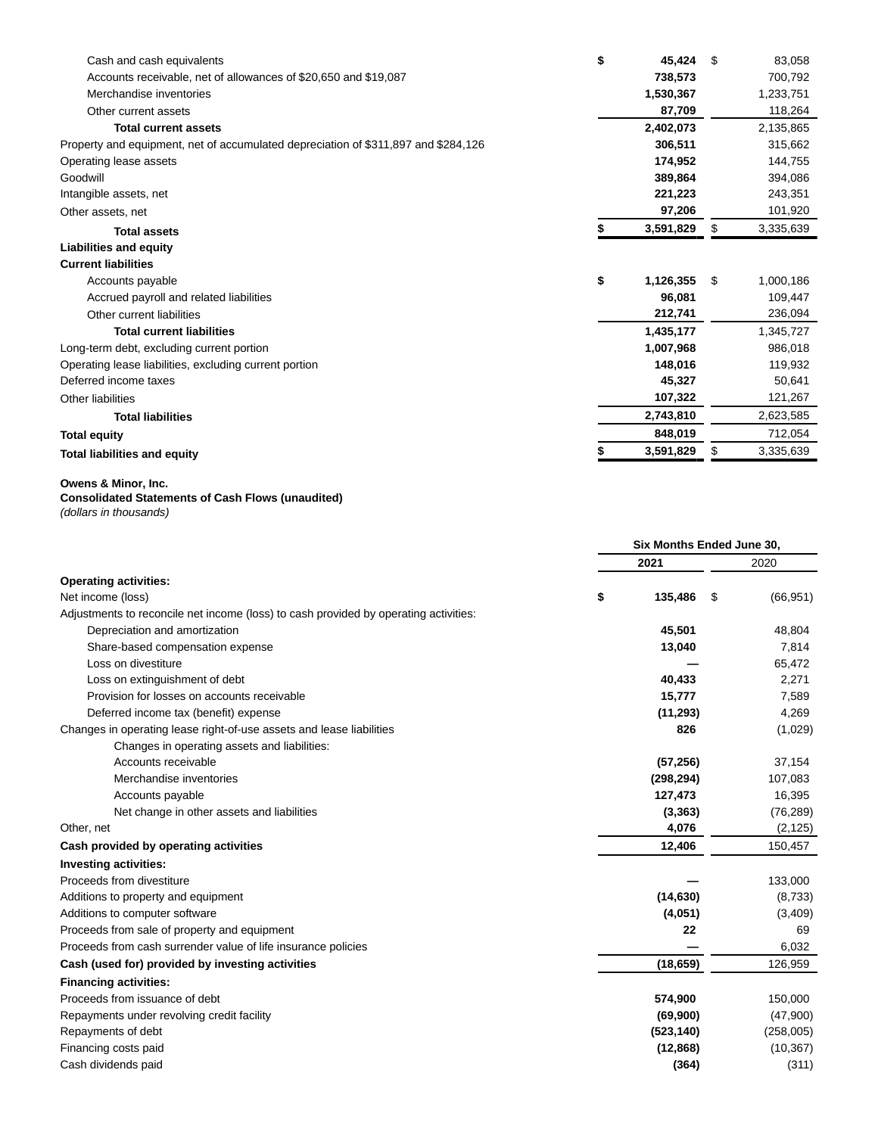| Cash and cash equivalents                                                          | \$<br>45,424    | \$. | 83,058    |
|------------------------------------------------------------------------------------|-----------------|-----|-----------|
| Accounts receivable, net of allowances of \$20,650 and \$19,087                    | 738,573         |     | 700,792   |
| Merchandise inventories                                                            | 1,530,367       |     | 1,233,751 |
| Other current assets                                                               | 87,709          |     | 118,264   |
| <b>Total current assets</b>                                                        | 2,402,073       |     | 2,135,865 |
| Property and equipment, net of accumulated depreciation of \$311,897 and \$284,126 | 306,511         |     | 315,662   |
| Operating lease assets                                                             | 174,952         |     | 144,755   |
| Goodwill                                                                           | 389,864         |     | 394,086   |
| Intangible assets, net                                                             | 221,223         |     | 243,351   |
| Other assets, net                                                                  | 97,206          |     | 101,920   |
| <b>Total assets</b>                                                                | 3,591,829       | \$  | 3,335,639 |
| <b>Liabilities and equity</b>                                                      |                 |     |           |
| <b>Current liabilities</b>                                                         |                 |     |           |
| Accounts payable                                                                   | \$<br>1,126,355 | \$. | 1,000,186 |
| Accrued payroll and related liabilities                                            | 96,081          |     | 109,447   |
| Other current liabilities                                                          | 212,741         |     | 236,094   |
| <b>Total current liabilities</b>                                                   | 1,435,177       |     | 1,345,727 |
| Long-term debt, excluding current portion                                          | 1,007,968       |     | 986,018   |
| Operating lease liabilities, excluding current portion                             | 148,016         |     | 119,932   |
| Deferred income taxes                                                              | 45,327          |     | 50,641    |
| Other liabilities                                                                  | 107,322         |     | 121,267   |
| <b>Total liabilities</b>                                                           | 2,743,810       |     | 2,623,585 |
| <b>Total equity</b>                                                                | 848,019         |     | 712,054   |
| <b>Total liabilities and equity</b>                                                | 3,591,829       |     | 3,335,639 |

#### **Owens & Minor, Inc.**

### **Consolidated Statements of Cash Flows (unaudited)**

(dollars in thousands)

|                                                                                      | Six Months Ended June 30, |            |    |           |
|--------------------------------------------------------------------------------------|---------------------------|------------|----|-----------|
|                                                                                      |                           | 2021       |    | 2020      |
| <b>Operating activities:</b>                                                         |                           |            |    |           |
| Net income (loss)                                                                    | \$                        | 135,486    | \$ | (66, 951) |
| Adjustments to reconcile net income (loss) to cash provided by operating activities: |                           |            |    |           |
| Depreciation and amortization                                                        |                           | 45,501     |    | 48,804    |
| Share-based compensation expense                                                     |                           | 13,040     |    | 7,814     |
| Loss on divestiture                                                                  |                           |            |    | 65,472    |
| Loss on extinguishment of debt                                                       |                           | 40,433     |    | 2,271     |
| Provision for losses on accounts receivable                                          |                           | 15,777     |    | 7,589     |
| Deferred income tax (benefit) expense                                                |                           | (11, 293)  |    | 4,269     |
| Changes in operating lease right-of-use assets and lease liabilities                 |                           | 826        |    | (1,029)   |
| Changes in operating assets and liabilities:                                         |                           |            |    |           |
| Accounts receivable                                                                  |                           | (57, 256)  |    | 37,154    |
| Merchandise inventories                                                              |                           | (298, 294) |    | 107,083   |
| Accounts payable                                                                     |                           | 127,473    |    | 16,395    |
| Net change in other assets and liabilities                                           |                           | (3, 363)   |    | (76, 289) |
| Other, net                                                                           |                           | 4,076      |    | (2, 125)  |
| Cash provided by operating activities                                                |                           | 12,406     |    | 150,457   |
| <b>Investing activities:</b>                                                         |                           |            |    |           |
| Proceeds from divestiture                                                            |                           |            |    | 133,000   |
| Additions to property and equipment                                                  |                           | (14, 630)  |    | (8,733)   |
| Additions to computer software                                                       |                           | (4,051)    |    | (3,409)   |
| Proceeds from sale of property and equipment                                         |                           | 22         |    | 69        |
| Proceeds from cash surrender value of life insurance policies                        |                           |            |    | 6,032     |
| Cash (used for) provided by investing activities                                     |                           | (18, 659)  |    | 126,959   |
| <b>Financing activities:</b>                                                         |                           |            |    |           |
| Proceeds from issuance of debt                                                       |                           | 574,900    |    | 150,000   |
| Repayments under revolving credit facility                                           |                           | (69,900)   |    | (47,900)  |
| Repayments of debt                                                                   |                           | (523, 140) |    | (258,005) |
| Financing costs paid                                                                 |                           | (12, 868)  |    | (10, 367) |
| Cash dividends paid                                                                  |                           | (364)      |    | (311)     |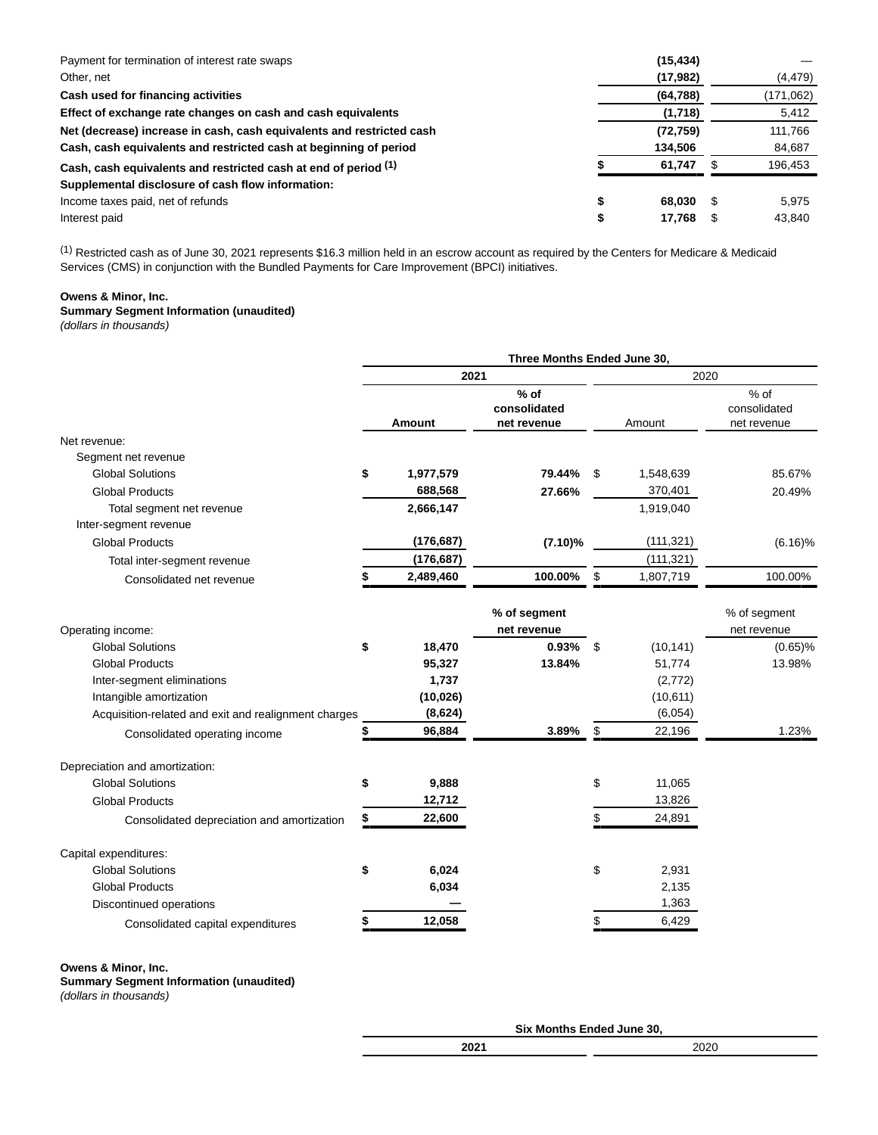| Payment for termination of interest rate swaps                        | (15, 434)    |      |           |
|-----------------------------------------------------------------------|--------------|------|-----------|
| Other, net                                                            | (17, 982)    |      | (4, 479)  |
| Cash used for financing activities                                    | (64, 788)    |      | (171,062) |
| Effect of exchange rate changes on cash and cash equivalents          | (1,718)      |      | 5,412     |
| Net (decrease) increase in cash, cash equivalents and restricted cash | (72, 759)    |      | 111,766   |
| Cash, cash equivalents and restricted cash at beginning of period     | 134,506      |      | 84,687    |
| Cash, cash equivalents and restricted cash at end of period (1)       | 61.747       |      | 196.453   |
| Supplemental disclosure of cash flow information:                     |              |      |           |
| Income taxes paid, net of refunds                                     | \$<br>68.030 | - \$ | 5.975     |
| Interest paid                                                         | \$<br>17.768 |      | 43.840    |

(1) Restricted cash as of June 30, 2021 represents \$16.3 million held in an escrow account as required by the Centers for Medicare & Medicaid Services (CMS) in conjunction with the Bundled Payments for Care Improvement (BPCI) initiatives.

# **Owens & Minor, Inc.**

# **Summary Segment Information (unaudited)**

(dollars in thousands)

|                                                                                                 |                 | Three Months Ended June 30,         |                 |                                       |  |  |
|-------------------------------------------------------------------------------------------------|-----------------|-------------------------------------|-----------------|---------------------------------------|--|--|
|                                                                                                 | 2021            |                                     | 2020            |                                       |  |  |
|                                                                                                 | Amount          | % of<br>consolidated<br>net revenue | Amount          | $%$ of<br>consolidated<br>net revenue |  |  |
| Net revenue:                                                                                    |                 |                                     |                 |                                       |  |  |
| Segment net revenue                                                                             |                 |                                     |                 |                                       |  |  |
| <b>Global Solutions</b>                                                                         | \$<br>1,977,579 | 79.44%                              | \$<br>1,548,639 | 85.67%                                |  |  |
| <b>Global Products</b>                                                                          | 688,568         | 27.66%                              | 370,401         | 20.49%                                |  |  |
| Total segment net revenue                                                                       | 2,666,147       |                                     | 1,919,040       |                                       |  |  |
| Inter-segment revenue                                                                           |                 |                                     |                 |                                       |  |  |
| <b>Global Products</b>                                                                          | (176, 687)      | $(7.10)\%$                          | (111, 321)      | $(6.16)\%$                            |  |  |
| Total inter-segment revenue                                                                     | (176, 687)      |                                     | (111, 321)      |                                       |  |  |
| Consolidated net revenue                                                                        | 2,489,460       | 100.00%                             | \$<br>1,807,719 | 100.00%                               |  |  |
| Operating income:                                                                               |                 | % of segment<br>net revenue         |                 | % of segment<br>net revenue           |  |  |
| <b>Global Solutions</b>                                                                         | \$<br>18,470    | 0.93%                               | \$<br>(10, 141) | $(0.65)\%$                            |  |  |
| <b>Global Products</b>                                                                          | 95,327          | 13.84%                              | 51,774          | 13.98%                                |  |  |
| Inter-segment eliminations                                                                      | 1,737           |                                     | (2,772)         |                                       |  |  |
| Intangible amortization                                                                         | (10, 026)       |                                     | (10, 611)       |                                       |  |  |
| Acquisition-related and exit and realignment charges                                            | (8,624)         |                                     | (6,054)         |                                       |  |  |
| Consolidated operating income                                                                   | \$<br>96,884    | 3.89%                               | \$<br>22,196    | 1.23%                                 |  |  |
| Depreciation and amortization:                                                                  |                 |                                     |                 |                                       |  |  |
| <b>Global Solutions</b>                                                                         | \$<br>9,888     |                                     | \$<br>11,065    |                                       |  |  |
| <b>Global Products</b>                                                                          | 12,712          |                                     | 13,826          |                                       |  |  |
| Consolidated depreciation and amortization                                                      | \$<br>22,600    |                                     | \$<br>24,891    |                                       |  |  |
| Capital expenditures:                                                                           |                 |                                     |                 |                                       |  |  |
| <b>Global Solutions</b>                                                                         | \$<br>6,024     |                                     | \$<br>2,931     |                                       |  |  |
| <b>Global Products</b>                                                                          | 6,034           |                                     | 2,135           |                                       |  |  |
| Discontinued operations                                                                         |                 |                                     | 1,363           |                                       |  |  |
| Consolidated capital expenditures                                                               | 12,058          |                                     | 6,429           |                                       |  |  |
| Owens & Minor, Inc.<br><b>Summary Segment Information (unaudited)</b><br>(dollars in thousands) |                 |                                     |                 |                                       |  |  |

| Six Months Ended June 30, |      |  |  |  |  |  |
|---------------------------|------|--|--|--|--|--|
| 2021                      | 2020 |  |  |  |  |  |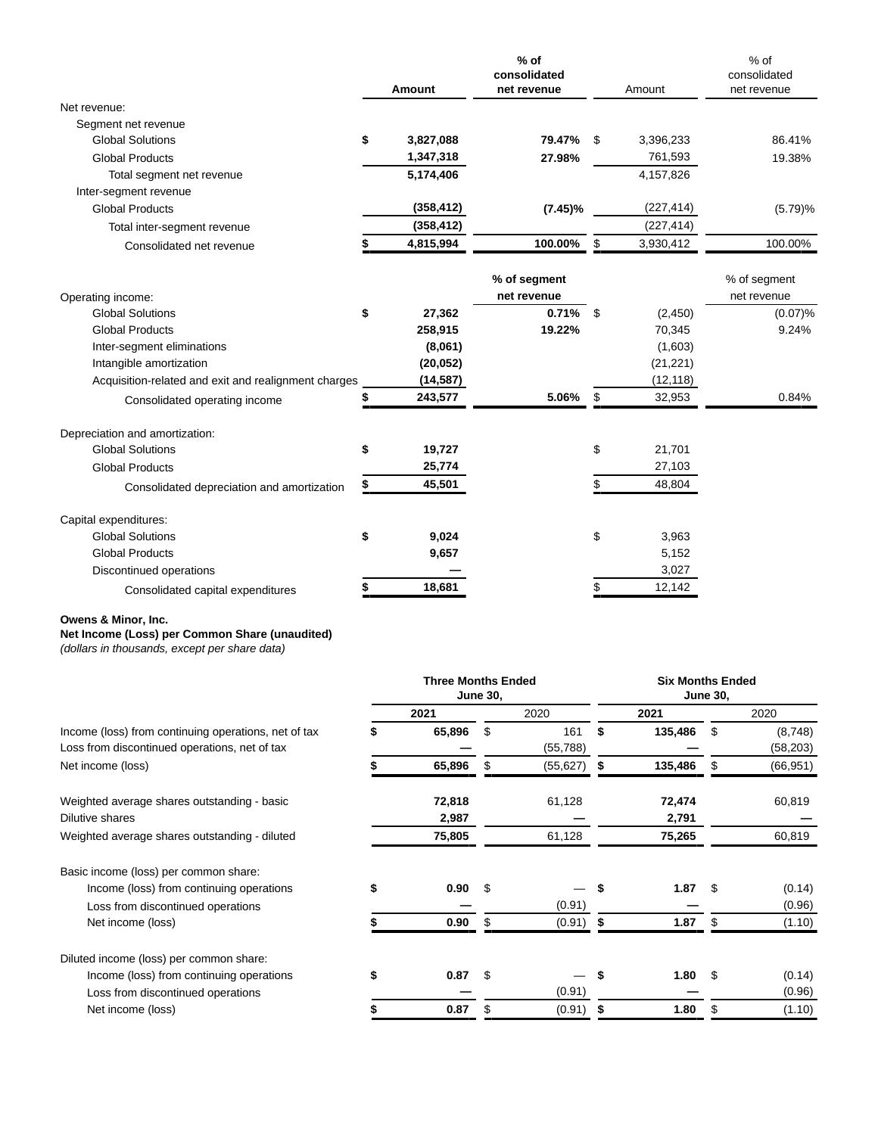|                                                      |    | Amount     | $%$ of<br>consolidated<br>net revenue | Amount          | $%$ of<br>consolidated<br>net revenue |
|------------------------------------------------------|----|------------|---------------------------------------|-----------------|---------------------------------------|
| Net revenue:                                         |    |            |                                       |                 |                                       |
| Segment net revenue                                  |    |            |                                       |                 |                                       |
| <b>Global Solutions</b>                              | \$ | 3,827,088  | 79.47%                                | \$<br>3,396,233 | 86.41%                                |
| <b>Global Products</b>                               |    | 1,347,318  | 27.98%                                | 761,593         | 19.38%                                |
| Total segment net revenue                            |    | 5,174,406  |                                       | 4,157,826       |                                       |
| Inter-segment revenue                                |    |            |                                       |                 |                                       |
| <b>Global Products</b>                               |    | (358, 412) | $(7.45)\%$                            | (227, 414)      | (5.79)%                               |
| Total inter-segment revenue                          |    | (358, 412) |                                       | (227, 414)      |                                       |
| Consolidated net revenue                             |    | 4,815,994  | 100.00%                               | \$<br>3,930,412 | 100.00%                               |
| Operating income:                                    |    |            | % of segment<br>net revenue           |                 | % of segment<br>net revenue           |
| <b>Global Solutions</b>                              | \$ | 27,362     | 0.71%                                 | \$<br>(2,450)   | (0.07)%                               |
| <b>Global Products</b>                               |    | 258,915    | 19.22%                                | 70,345          | 9.24%                                 |
| Inter-segment eliminations                           |    | (8,061)    |                                       | (1,603)         |                                       |
| Intangible amortization                              |    | (20, 052)  |                                       | (21, 221)       |                                       |
| Acquisition-related and exit and realignment charges |    | (14, 587)  |                                       | (12, 118)       |                                       |
| Consolidated operating income                        | \$ | 243,577    | 5.06%                                 | \$<br>32,953    | 0.84%                                 |
| Depreciation and amortization:                       |    |            |                                       |                 |                                       |
| <b>Global Solutions</b>                              | \$ | 19,727     |                                       | \$<br>21,701    |                                       |
| <b>Global Products</b>                               |    | 25,774     |                                       | 27,103          |                                       |
| Consolidated depreciation and amortization           |    | 45,501     |                                       | \$<br>48,804    |                                       |
| Capital expenditures:                                |    |            |                                       |                 |                                       |
| <b>Global Solutions</b>                              | \$ | 9,024      |                                       | \$<br>3,963     |                                       |
| <b>Global Products</b>                               |    | 9,657      |                                       | 5,152           |                                       |
| Discontinued operations                              |    |            |                                       | 3,027           |                                       |
| Consolidated capital expenditures                    | S  | 18,681     |                                       | \$<br>12,142    |                                       |

# **Owens & Minor, Inc.**

**Net Income (Loss) per Common Share (unaudited)**

(dollars in thousands, except per share data)

|                                                      | <b>Three Months Ended</b><br><b>June 30,</b> |           |    | <b>Six Months Ended</b><br><b>June 30,</b> |            |          |           |
|------------------------------------------------------|----------------------------------------------|-----------|----|--------------------------------------------|------------|----------|-----------|
|                                                      |                                              | 2021      |    | 2020                                       | 2021       |          | 2020      |
| Income (loss) from continuing operations, net of tax |                                              | 65,896    | \$ | 161                                        | 135,486    | \$       | (8,748)   |
| Loss from discontinued operations, net of tax        |                                              |           |    | (55,788)                                   |            |          | (58, 203) |
| Net income (loss)                                    |                                              | 65,896    | \$ | (55, 627)                                  | 135,486    | \$       | (66, 951) |
| Weighted average shares outstanding - basic          |                                              | 72,818    |    | 61,128                                     | 72,474     |          | 60,819    |
| Dilutive shares                                      |                                              | 2,987     |    |                                            | 2,791      |          |           |
| Weighted average shares outstanding - diluted        |                                              | 75,805    |    | 61,128                                     | 75,265     |          | 60,819    |
| Basic income (loss) per common share:                |                                              |           |    |                                            |            |          |           |
| Income (loss) from continuing operations             | \$                                           | 0.90      | \$ |                                            | 1.87       | <b>S</b> | (0.14)    |
| Loss from discontinued operations                    |                                              |           |    | (0.91)                                     |            |          | (0.96)    |
| Net income (loss)                                    |                                              | 0.90      | \$ | (0.91)                                     | \$<br>1.87 | \$       | (1.10)    |
| Diluted income (loss) per common share:              |                                              |           |    |                                            |            |          |           |
| Income (loss) from continuing operations             |                                              | $0.87$ \$ |    |                                            | 1.80       | \$.      | (0.14)    |
| Loss from discontinued operations                    |                                              |           |    | (0.91)                                     |            |          | (0.96)    |
| Net income (loss)                                    |                                              | 0.87      | \$ | (0.91)                                     | 1.80       | \$       | (1.10)    |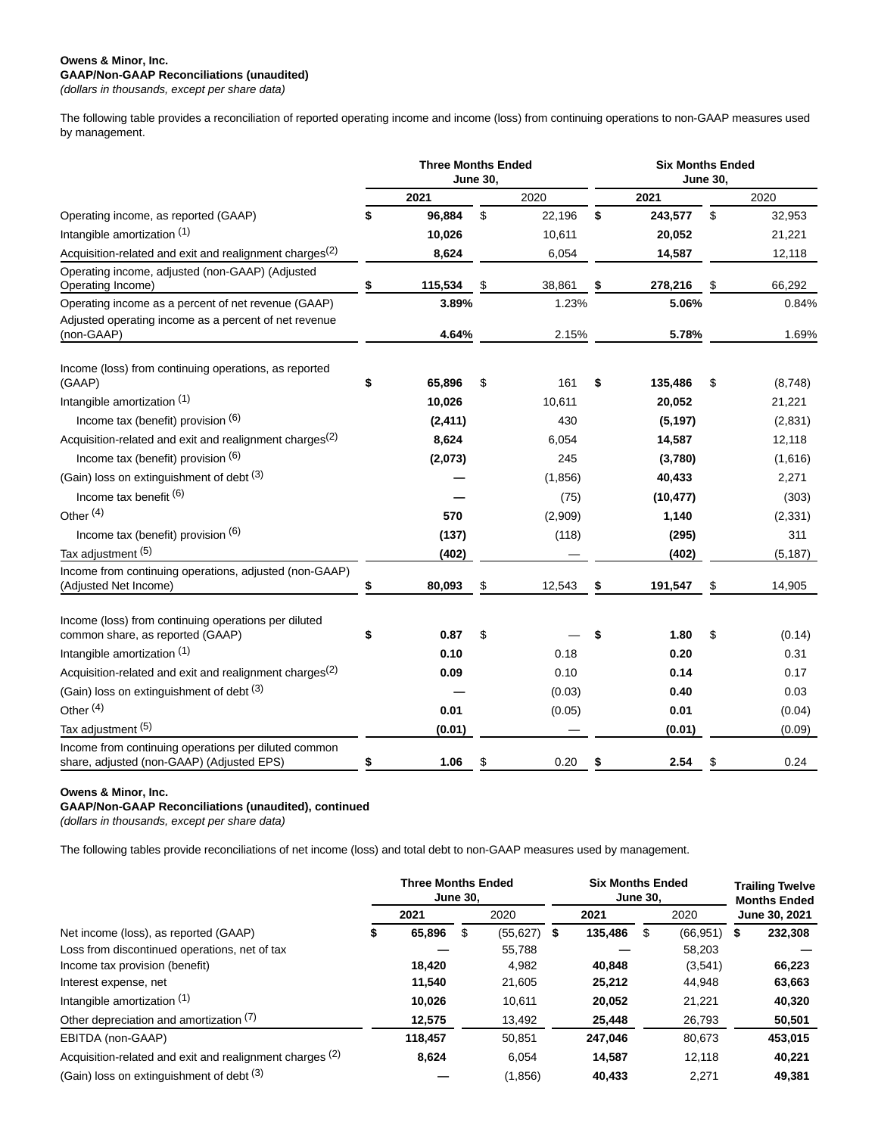#### **Owens & Minor, Inc. GAAP/Non-GAAP Reconciliations (unaudited)** (dollars in thousands, except per share data)

The following table provides a reconciliation of reported operating income and income (loss) from continuing operations to non-GAAP measures used by management.

|                                                                                                   | <b>Three Months Ended</b><br><b>June 30,</b> |          |    |         |    | <b>Six Months Ended</b><br><b>June 30,</b> |    |          |  |  |  |
|---------------------------------------------------------------------------------------------------|----------------------------------------------|----------|----|---------|----|--------------------------------------------|----|----------|--|--|--|
|                                                                                                   |                                              | 2021     |    | 2020    |    | 2021                                       |    | 2020     |  |  |  |
| Operating income, as reported (GAAP)                                                              | \$                                           | 96,884   | \$ | 22,196  | \$ | 243,577                                    | \$ | 32,953   |  |  |  |
| Intangible amortization (1)                                                                       |                                              | 10,026   |    | 10,611  |    | 20,052                                     |    | 21,221   |  |  |  |
| Acquisition-related and exit and realignment charges <sup>(2)</sup>                               |                                              | 8,624    |    | 6,054   |    | 14,587                                     |    | 12,118   |  |  |  |
| Operating income, adjusted (non-GAAP) (Adjusted<br>Operating Income)                              | \$                                           | 115,534  | \$ | 38,861  |    | 278,216                                    |    | 66,292   |  |  |  |
| Operating income as a percent of net revenue (GAAP)                                               |                                              | 3.89%    |    | 1.23%   |    | 5.06%                                      |    | 0.84%    |  |  |  |
| Adjusted operating income as a percent of net revenue<br>(non-GAAP)                               |                                              | 4.64%    |    | 2.15%   |    | 5.78%                                      |    | 1.69%    |  |  |  |
| Income (loss) from continuing operations, as reported<br>(GAAP)                                   | \$                                           | 65,896   | \$ | 161     | \$ | 135,486                                    | \$ | (8,748)  |  |  |  |
| Intangible amortization (1)                                                                       |                                              | 10,026   |    | 10,611  |    | 20,052                                     |    | 21,221   |  |  |  |
| Income tax (benefit) provision (6)                                                                |                                              | (2, 411) |    | 430     |    | (5, 197)                                   |    | (2,831)  |  |  |  |
| Acquisition-related and exit and realignment charges <sup>(2)</sup>                               |                                              | 8,624    |    | 6,054   |    | 14,587                                     |    | 12,118   |  |  |  |
| Income tax (benefit) provision (6)                                                                |                                              | (2,073)  |    | 245     |    | (3,780)                                    |    | (1,616)  |  |  |  |
| (Gain) loss on extinguishment of debt (3)                                                         |                                              |          |    | (1,856) |    | 40,433                                     |    | 2,271    |  |  |  |
| Income tax benefit $(6)$                                                                          |                                              |          |    | (75)    |    | (10, 477)                                  |    | (303)    |  |  |  |
| Other <sup>(4)</sup>                                                                              |                                              | 570      |    | (2,909) |    | 1,140                                      |    | (2, 331) |  |  |  |
| Income tax (benefit) provision $(6)$                                                              |                                              | (137)    |    | (118)   |    | (295)                                      |    | 311      |  |  |  |
| Tax adjustment (5)                                                                                |                                              | (402)    |    |         |    | (402)                                      |    | (5, 187) |  |  |  |
| Income from continuing operations, adjusted (non-GAAP)<br>(Adjusted Net Income)                   | \$                                           | 80,093   | \$ | 12,543  | \$ | 191,547                                    | \$ | 14,905   |  |  |  |
| Income (loss) from continuing operations per diluted<br>common share, as reported (GAAP)          | \$                                           | 0.87     | \$ |         | \$ | 1.80                                       | \$ | (0.14)   |  |  |  |
| Intangible amortization (1)                                                                       |                                              | 0.10     |    | 0.18    |    | 0.20                                       |    | 0.31     |  |  |  |
| Acquisition-related and exit and realignment charges <sup>(2)</sup>                               |                                              | 0.09     |    | 0.10    |    | 0.14                                       |    | 0.17     |  |  |  |
| (Gain) loss on extinguishment of debt (3)                                                         |                                              |          |    | (0.03)  |    | 0.40                                       |    | 0.03     |  |  |  |
| Other <sup>(4)</sup>                                                                              |                                              | 0.01     |    | (0.05)  |    | 0.01                                       |    | (0.04)   |  |  |  |
| Tax adjustment (5)                                                                                |                                              | (0.01)   |    |         |    | (0.01)                                     |    | (0.09)   |  |  |  |
| Income from continuing operations per diluted common<br>share, adjusted (non-GAAP) (Adjusted EPS) | \$                                           | 1.06     | \$ | 0.20    | \$ | 2.54                                       | \$ | 0.24     |  |  |  |

### **Owens & Minor, Inc.**

### **GAAP/Non-GAAP Reconciliations (unaudited), continued**

(dollars in thousands, except per share data)

The following tables provide reconciliations of net income (loss) and total debt to non-GAAP measures used by management.

|                                                          | <b>Three Months Ended</b><br>June 30. |         |      |               | <b>Six Months Ended</b><br><b>June 30.</b> |         |      |               | <b>Trailing Twelve</b><br><b>Months Ended</b> |         |
|----------------------------------------------------------|---------------------------------------|---------|------|---------------|--------------------------------------------|---------|------|---------------|-----------------------------------------------|---------|
| Net income (loss), as reported (GAAP)                    | 2021                                  |         | 2020 |               | 2021                                       |         | 2020 |               | June 30, 2021                                 |         |
|                                                          | ъ                                     | 65,896  | S    | $(55,627)$ \$ |                                            | 135,486 | S    | $(66,951)$ \$ |                                               | 232,308 |
| Loss from discontinued operations, net of tax            |                                       |         |      | 55,788        |                                            |         |      | 58,203        |                                               |         |
| Income tax provision (benefit)                           |                                       | 18,420  |      | 4,982         |                                            | 40,848  |      | (3,541)       |                                               | 66,223  |
| Interest expense, net                                    |                                       | 11.540  |      | 21,605        |                                            | 25,212  |      | 44,948        |                                               | 63,663  |
| Intangible amortization (1)                              |                                       | 10,026  |      | 10.611        |                                            | 20,052  |      | 21,221        |                                               | 40,320  |
| Other depreciation and amortization (7)                  |                                       | 12,575  |      | 13,492        |                                            | 25,448  |      | 26,793        |                                               | 50,501  |
| EBITDA (non-GAAP)                                        |                                       | 118,457 |      | 50,851        |                                            | 247,046 |      | 80,673        |                                               | 453,015 |
| Acquisition-related and exit and realignment charges (2) |                                       | 8,624   |      | 6.054         |                                            | 14.587  |      | 12.118        |                                               | 40,221  |
| (Gain) loss on extinguishment of debt (3)                |                                       |         |      | (1,856)       |                                            | 40.433  |      | 2.271         |                                               | 49,381  |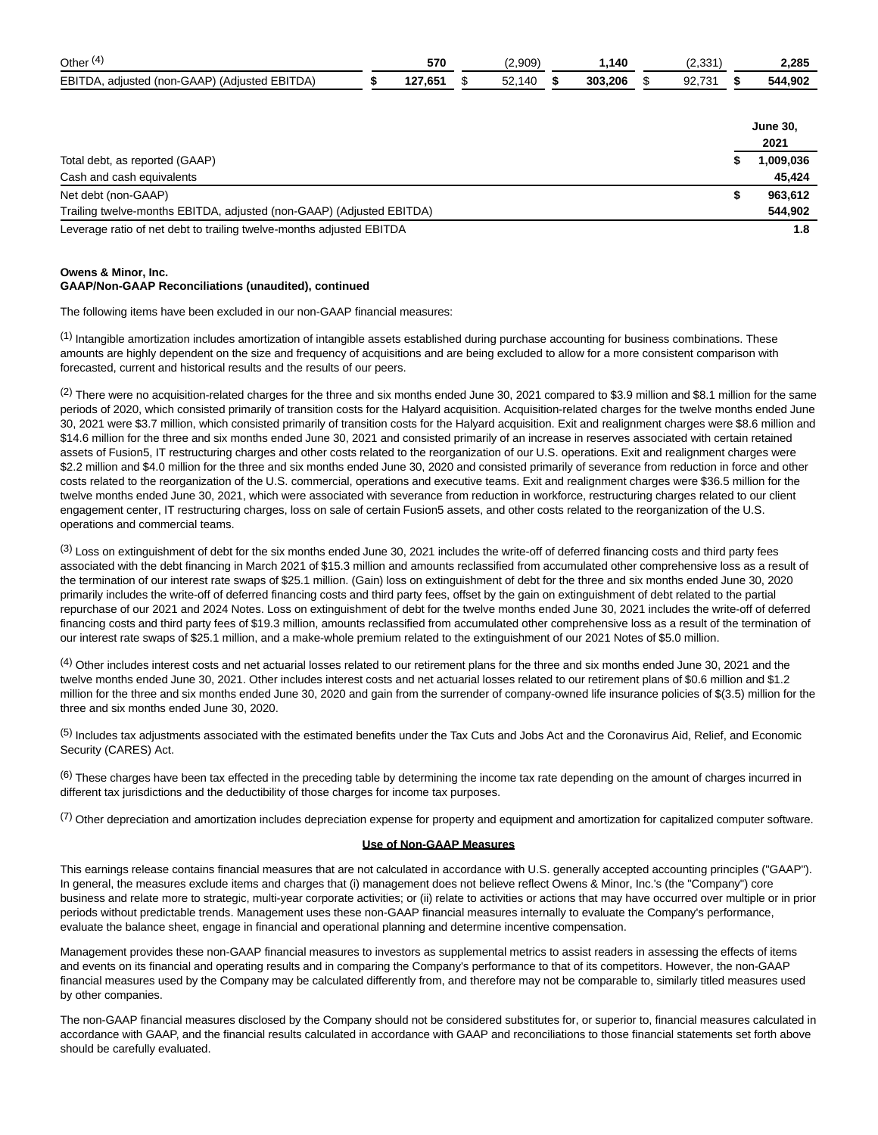| Other $(4)$                                   | 570     | (2,909) | 1,140   | (2, 331) | 2,285           |
|-----------------------------------------------|---------|---------|---------|----------|-----------------|
| EBITDA, adjusted (non-GAAP) (Adjusted EBITDA) | 127,651 | 52,140  | 303.206 | 92,731   | 544,902         |
|                                               |         |         |         |          |                 |
|                                               |         |         |         |          | <b>June 30,</b> |
|                                               |         |         |         |          | 2021            |
| Total debt, as reported (GAAP)                |         |         |         |          | 1,009,036       |
| Cash and cash equivalents                     |         |         |         |          | 45.424          |

Net debt (non-GAAP) **\$ 963,612** Trailing twelve-months EBITDA, adjusted (non-GAAP) (Adjusted EBITDA) **544,902** Leverage ratio of net debt to trailing twelve-months adjusted EBITDA **1.8**

#### **Owens & Minor, Inc. GAAP/Non-GAAP Reconciliations (unaudited), continued**

The following items have been excluded in our non-GAAP financial measures:

 $<sup>(1)</sup>$  Intangible amortization includes amortization of intangible assets established during purchase accounting for business combinations. These</sup> amounts are highly dependent on the size and frequency of acquisitions and are being excluded to allow for a more consistent comparison with forecasted, current and historical results and the results of our peers.

(2) There were no acquisition-related charges for the three and six months ended June 30, 2021 compared to \$3.9 million and \$8.1 million for the same periods of 2020, which consisted primarily of transition costs for the Halyard acquisition. Acquisition-related charges for the twelve months ended June 30, 2021 were \$3.7 million, which consisted primarily of transition costs for the Halyard acquisition. Exit and realignment charges were \$8.6 million and \$14.6 million for the three and six months ended June 30, 2021 and consisted primarily of an increase in reserves associated with certain retained assets of Fusion5, IT restructuring charges and other costs related to the reorganization of our U.S. operations. Exit and realignment charges were \$2.2 million and \$4.0 million for the three and six months ended June 30, 2020 and consisted primarily of severance from reduction in force and other costs related to the reorganization of the U.S. commercial, operations and executive teams. Exit and realignment charges were \$36.5 million for the twelve months ended June 30, 2021, which were associated with severance from reduction in workforce, restructuring charges related to our client engagement center, IT restructuring charges, loss on sale of certain Fusion5 assets, and other costs related to the reorganization of the U.S. operations and commercial teams.

<sup>(3)</sup> Loss on extinguishment of debt for the six months ended June 30, 2021 includes the write-off of deferred financing costs and third party fees associated with the debt financing in March 2021 of \$15.3 million and amounts reclassified from accumulated other comprehensive loss as a result of the termination of our interest rate swaps of \$25.1 million. (Gain) loss on extinguishment of debt for the three and six months ended June 30, 2020 primarily includes the write-off of deferred financing costs and third party fees, offset by the gain on extinguishment of debt related to the partial repurchase of our 2021 and 2024 Notes. Loss on extinguishment of debt for the twelve months ended June 30, 2021 includes the write-off of deferred financing costs and third party fees of \$19.3 million, amounts reclassified from accumulated other comprehensive loss as a result of the termination of our interest rate swaps of \$25.1 million, and a make-whole premium related to the extinguishment of our 2021 Notes of \$5.0 million.

(4) Other includes interest costs and net actuarial losses related to our retirement plans for the three and six months ended June 30, 2021 and the twelve months ended June 30, 2021. Other includes interest costs and net actuarial losses related to our retirement plans of \$0.6 million and \$1.2 million for the three and six months ended June 30, 2020 and gain from the surrender of company-owned life insurance policies of \$(3.5) million for the three and six months ended June 30, 2020.

 $<sup>(5)</sup>$  Includes tax adjustments associated with the estimated benefits under the Tax Cuts and Jobs Act and the Coronavirus Aid, Relief, and Economic</sup> Security (CARES) Act.

 $(6)$  These charges have been tax effected in the preceding table by determining the income tax rate depending on the amount of charges incurred in different tax jurisdictions and the deductibility of those charges for income tax purposes.

(7) Other depreciation and amortization includes depreciation expense for property and equipment and amortization for capitalized computer software.

### **Use of Non-GAAP Measures**

This earnings release contains financial measures that are not calculated in accordance with U.S. generally accepted accounting principles ("GAAP"). In general, the measures exclude items and charges that (i) management does not believe reflect Owens & Minor, Inc.'s (the "Company") core business and relate more to strategic, multi-year corporate activities; or (ii) relate to activities or actions that may have occurred over multiple or in prior periods without predictable trends. Management uses these non-GAAP financial measures internally to evaluate the Company's performance, evaluate the balance sheet, engage in financial and operational planning and determine incentive compensation.

Management provides these non-GAAP financial measures to investors as supplemental metrics to assist readers in assessing the effects of items and events on its financial and operating results and in comparing the Company's performance to that of its competitors. However, the non-GAAP financial measures used by the Company may be calculated differently from, and therefore may not be comparable to, similarly titled measures used by other companies.

The non-GAAP financial measures disclosed by the Company should not be considered substitutes for, or superior to, financial measures calculated in accordance with GAAP, and the financial results calculated in accordance with GAAP and reconciliations to those financial statements set forth above should be carefully evaluated.